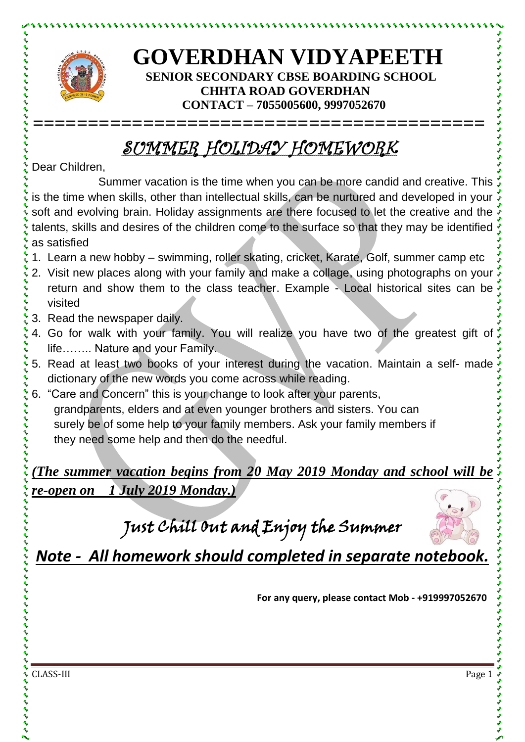

とけけいけいけいけい

## **GOVERDHAN VIDYAPEETH SENIOR SECONDARY CBSE BOARDING SCHOOL CHHTA ROAD GOVERDHAN CONTACT – 7055005600, 9997052670**

## SUMMER HOLIDAY HOMEWORK

**=========================================**

Dear Children,

Summer vacation is the time when you can be more candid and creative. This is the time when skills, other than intellectual skills, can be nurtured and developed in your soft and evolving brain. Holiday assignments are there focused to let the creative and the talents, skills and desires of the children come to the surface so that they may be identified as satisfied

- 1. Learn a new hobby swimming, roller skating, cricket, Karate, Golf, summer camp etc
- 2. Visit new places along with your family and make a collage, using photographs on your return and show them to the class teacher. Example - Local historical sites can be visited
- 3. Read the newspaper daily.
- 4. Go for walk with your family. You will realize you have two of the greatest gift of life…….. Nature and your Family.
- 5. Read at least two books of your interest during the vacation. Maintain a self- made dictionary of the new words you come across while reading.
- 6. "Care and Concern" this is your change to look after your parents, grandparents, elders and at even younger brothers and sisters. You can surely be of some help to your family members. Ask your family members if they need some help and then do the needful.

*(The summer vacation begins from 20 May 2019 Monday and school will be re-open on 1 July 2019 Monday.)*

Just Chill Out and Enjoy the Summer



*Note - All homework should completed in separate notebook.*

**For any query, please contact Mob - +919997052670**

CLASS-III Page 1